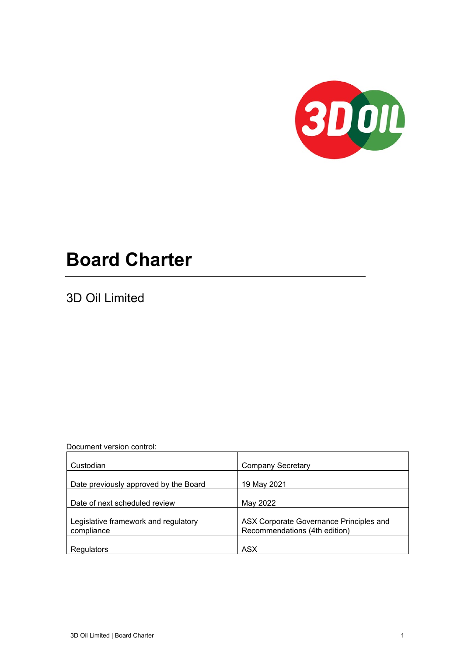

# **Board Charter**

3D Oil Limited

Document version control:

| Custodian                                          | <b>Company Secretary</b>                                                 |
|----------------------------------------------------|--------------------------------------------------------------------------|
| Date previously approved by the Board              | 19 May 2021                                                              |
| Date of next scheduled review                      | May 2022                                                                 |
|                                                    |                                                                          |
| Legislative framework and regulatory<br>compliance | ASX Corporate Governance Principles and<br>Recommendations (4th edition) |
| Regulators                                         | ASX                                                                      |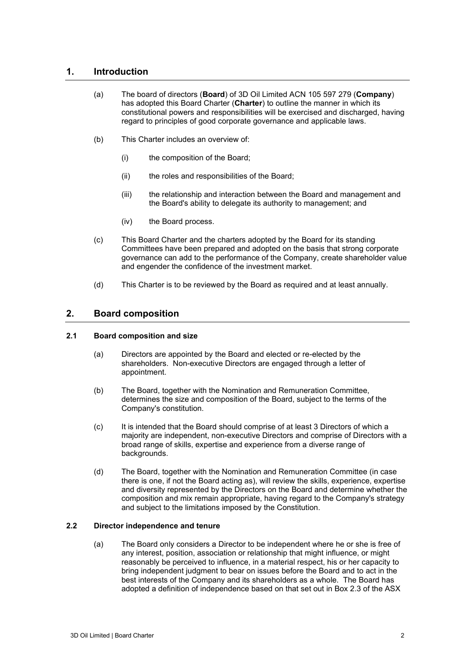# **1. Introduction**

- (a) The board of directors (**Board**) of 3D Oil Limited ACN 105 597 279 (**Company**) has adopted this Board Charter (**Charter**) to outline the manner in which its constitutional powers and responsibilities will be exercised and discharged, having regard to principles of good corporate governance and applicable laws.
- (b) This Charter includes an overview of:
	- (i) the composition of the Board;
	- (ii) the roles and responsibilities of the Board;
	- (iii) the relationship and interaction between the Board and management and the Board's ability to delegate its authority to management; and
	- (iv) the Board process.
- (c) This Board Charter and the charters adopted by the Board for its standing Committees have been prepared and adopted on the basis that strong corporate governance can add to the performance of the Company, create shareholder value and engender the confidence of the investment market.
- (d) This Charter is to be reviewed by the Board as required and at least annually.

# **2. Board composition**

#### **2.1 Board composition and size**

- (a) Directors are appointed by the Board and elected or re-elected by the shareholders. Non-executive Directors are engaged through a letter of appointment.
- (b) The Board, together with the Nomination and Remuneration Committee, determines the size and composition of the Board, subject to the terms of the Company's constitution.
- (c) It is intended that the Board should comprise of at least 3 Directors of which a majority are independent, non-executive Directors and comprise of Directors with a broad range of skills, expertise and experience from a diverse range of backgrounds.
- (d) The Board, together with the Nomination and Remuneration Committee (in case there is one, if not the Board acting as), will review the skills, experience, expertise and diversity represented by the Directors on the Board and determine whether the composition and mix remain appropriate, having regard to the Company's strategy and subject to the limitations imposed by the Constitution.

#### **2.2 Director independence and tenure**

(a) The Board only considers a Director to be independent where he or she is free of any interest, position, association or relationship that might influence, or might reasonably be perceived to influence, in a material respect, his or her capacity to bring independent judgment to bear on issues before the Board and to act in the best interests of the Company and its shareholders as a whole. The Board has adopted a definition of independence based on that set out in Box 2.3 of the ASX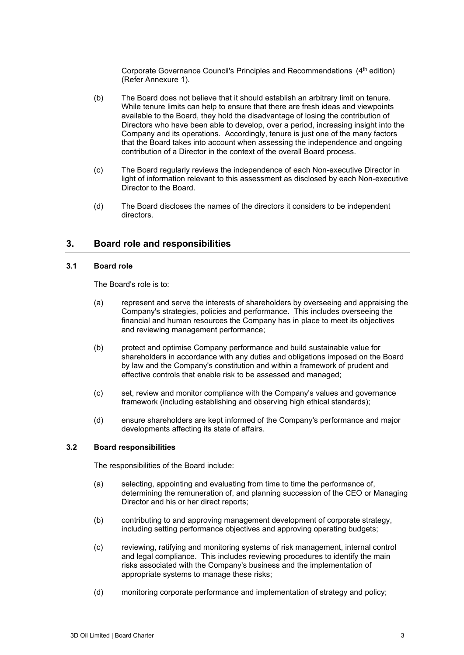Corporate Governance Council's Principles and Recommendations (4<sup>th</sup> edition) (Refer Annexure [1\)](#page-7-0).

- (b) The Board does not believe that it should establish an arbitrary limit on tenure. While tenure limits can help to ensure that there are fresh ideas and viewpoints available to the Board, they hold the disadvantage of losing the contribution of Directors who have been able to develop, over a period, increasing insight into the Company and its operations. Accordingly, tenure is just one of the many factors that the Board takes into account when assessing the independence and ongoing contribution of a Director in the context of the overall Board process.
- (c) The Board regularly reviews the independence of each Non-executive Director in light of information relevant to this assessment as disclosed by each Non-executive Director to the Board.
- (d) The Board discloses the names of the directors it considers to be independent directors.

# **3. Board role and responsibilities**

#### **3.1 Board role**

The Board's role is to:

- (a) represent and serve the interests of shareholders by overseeing and appraising the Company's strategies, policies and performance. This includes overseeing the financial and human resources the Company has in place to meet its objectives and reviewing management performance;
- (b) protect and optimise Company performance and build sustainable value for shareholders in accordance with any duties and obligations imposed on the Board by law and the Company's constitution and within a framework of prudent and effective controls that enable risk to be assessed and managed;
- (c) set, review and monitor compliance with the Company's values and governance framework (including establishing and observing high ethical standards);
- (d) ensure shareholders are kept informed of the Company's performance and major developments affecting its state of affairs.

#### **3.2 Board responsibilities**

The responsibilities of the Board include:

- (a) selecting, appointing and evaluating from time to time the performance of, determining the remuneration of, and planning succession of the CEO or Managing Director and his or her direct reports;
- (b) contributing to and approving management development of corporate strategy, including setting performance objectives and approving operating budgets;
- (c) reviewing, ratifying and monitoring systems of risk management, internal control and legal compliance. This includes reviewing procedures to identify the main risks associated with the Company's business and the implementation of appropriate systems to manage these risks;
- (d) monitoring corporate performance and implementation of strategy and policy;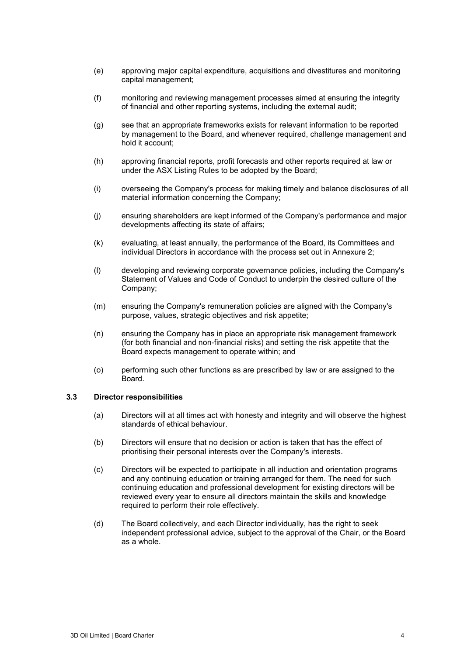- (e) approving major capital expenditure, acquisitions and divestitures and monitoring capital management;
- (f) monitoring and reviewing management processes aimed at ensuring the integrity of financial and other reporting systems, including the external audit;
- (g) see that an appropriate frameworks exists for relevant information to be reported by management to the Board, and whenever required, challenge management and hold it account;
- (h) approving financial reports, profit forecasts and other reports required at law or under the ASX Listing Rules to be adopted by the Board;
- (i) overseeing the Company's process for making timely and balance disclosures of all material information concerning the Company;
- (j) ensuring shareholders are kept informed of the Company's performance and major developments affecting its state of affairs;
- (k) evaluating, at least annually, the performance of the Board, its Committees and individual Directors in accordance with the process set out in Annexure [2;](#page-9-0)
- (l) developing and reviewing corporate governance policies, including the Company's Statement of Values and Code of Conduct to underpin the desired culture of the Company;
- (m) ensuring the Company's remuneration policies are aligned with the Company's purpose, values, strategic objectives and risk appetite;
- (n) ensuring the Company has in place an appropriate risk management framework (for both financial and non-financial risks) and setting the risk appetite that the Board expects management to operate within; and
- (o) performing such other functions as are prescribed by law or are assigned to the Board.

#### **3.3 Director responsibilities**

- (a) Directors will at all times act with honesty and integrity and will observe the highest standards of ethical behaviour.
- (b) Directors will ensure that no decision or action is taken that has the effect of prioritising their personal interests over the Company's interests.
- (c) Directors will be expected to participate in all induction and orientation programs and any continuing education or training arranged for them. The need for such continuing education and professional development for existing directors will be reviewed every year to ensure all directors maintain the skills and knowledge required to perform their role effectively.
- (d) The Board collectively, and each Director individually, has the right to seek independent professional advice, subject to the approval of the Chair, or the Board as a whole.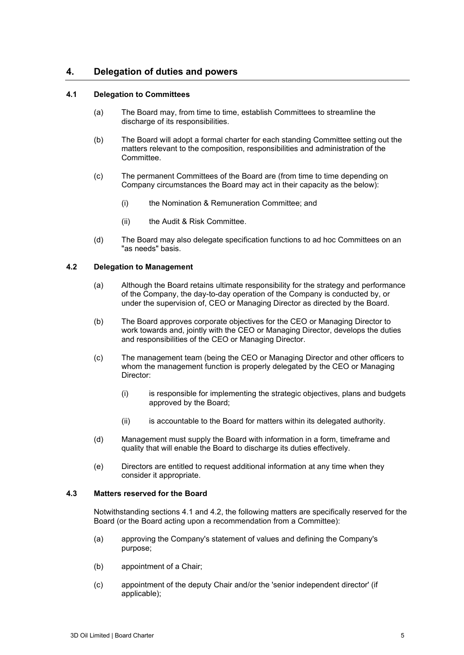# **4. Delegation of duties and powers**

#### <span id="page-4-0"></span>**4.1 Delegation to Committees**

- (a) The Board may, from time to time, establish Committees to streamline the discharge of its responsibilities.
- (b) The Board will adopt a formal charter for each standing Committee setting out the matters relevant to the composition, responsibilities and administration of the Committee.
- (c) The permanent Committees of the Board are (from time to time depending on Company circumstances the Board may act in their capacity as the below):
	- (i) the Nomination & Remuneration Committee; and
	- (ii) the Audit & Risk Committee.
- (d) The Board may also delegate specification functions to ad hoc Committees on an "as needs" basis.

#### <span id="page-4-1"></span>**4.2 Delegation to Management**

- (a) Although the Board retains ultimate responsibility for the strategy and performance of the Company, the day-to-day operation of the Company is conducted by, or under the supervision of, CEO or Managing Director as directed by the Board.
- (b) The Board approves corporate objectives for the CEO or Managing Director to work towards and, jointly with the CEO or Managing Director, develops the duties and responsibilities of the CEO or Managing Director.
- (c) The management team (being the CEO or Managing Director and other officers to whom the management function is properly delegated by the CEO or Managing Director:
	- (i) is responsible for implementing the strategic objectives, plans and budgets approved by the Board;
	- (ii) is accountable to the Board for matters within its delegated authority.
- (d) Management must supply the Board with information in a form, timeframe and quality that will enable the Board to discharge its duties effectively.
- (e) Directors are entitled to request additional information at any time when they consider it appropriate.

#### **4.3 Matters reserved for the Board**

Notwithstanding sections [4.1](#page-4-0) and [4.2,](#page-4-1) the following matters are specifically reserved for the Board (or the Board acting upon a recommendation from a Committee):

- (a) approving the Company's statement of values and defining the Company's purpose;
- (b) appointment of a Chair;
- (c) appointment of the deputy Chair and/or the 'senior independent director' (if applicable);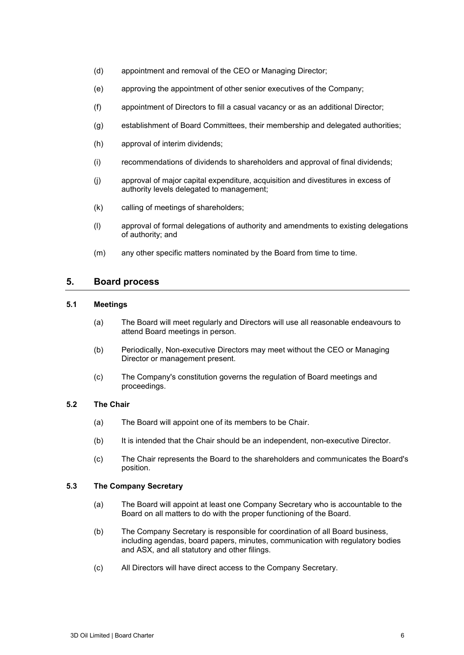- (d) appointment and removal of the CEO or Managing Director;
- (e) approving the appointment of other senior executives of the Company;
- (f) appointment of Directors to fill a casual vacancy or as an additional Director;
- (g) establishment of Board Committees, their membership and delegated authorities;
- (h) approval of interim dividends;
- (i) recommendations of dividends to shareholders and approval of final dividends;
- (j) approval of major capital expenditure, acquisition and divestitures in excess of authority levels delegated to management;
- (k) calling of meetings of shareholders;
- (l) approval of formal delegations of authority and amendments to existing delegations of authority; and
- (m) any other specific matters nominated by the Board from time to time.

### **5. Board process**

#### **5.1 Meetings**

- (a) The Board will meet regularly and Directors will use all reasonable endeavours to attend Board meetings in person.
- (b) Periodically, Non-executive Directors may meet without the CEO or Managing Director or management present.
- (c) The Company's constitution governs the regulation of Board meetings and proceedings.

#### **5.2 The Chair**

- (a) The Board will appoint one of its members to be Chair.
- (b) It is intended that the Chair should be an independent, non-executive Director.
- (c) The Chair represents the Board to the shareholders and communicates the Board's position.

#### **5.3 The Company Secretary**

- (a) The Board will appoint at least one Company Secretary who is accountable to the Board on all matters to do with the proper functioning of the Board.
- (b) The Company Secretary is responsible for coordination of all Board business, including agendas, board papers, minutes, communication with regulatory bodies and ASX, and all statutory and other filings.
- (c) All Directors will have direct access to the Company Secretary.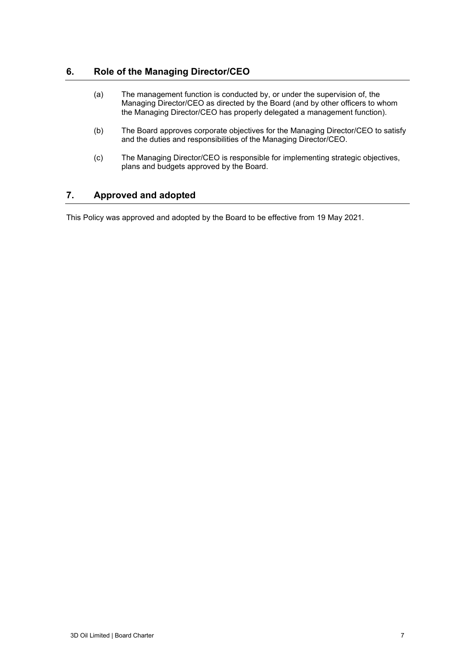# **6. Role of the Managing Director/CEO**

- (a) The management function is conducted by, or under the supervision of, the Managing Director/CEO as directed by the Board (and by other officers to whom the Managing Director/CEO has properly delegated a management function).
- (b) The Board approves corporate objectives for the Managing Director/CEO to satisfy and the duties and responsibilities of the Managing Director/CEO.
- (c) The Managing Director/CEO is responsible for implementing strategic objectives, plans and budgets approved by the Board.

# **7. Approved and adopted**

This Policy was approved and adopted by the Board to be effective from 19 May 2021.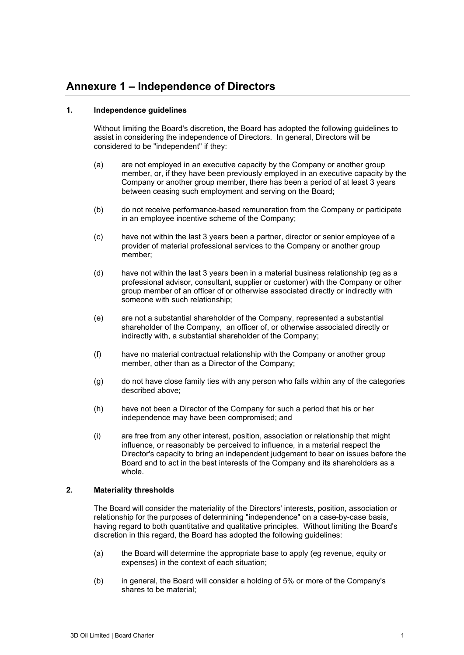# <span id="page-7-0"></span>**Annexure 1 – Independence of Directors**

#### **1. Independence guidelines**

Without limiting the Board's discretion, the Board has adopted the following guidelines to assist in considering the independence of Directors. In general, Directors will be considered to be "independent" if they:

- (a) are not employed in an executive capacity by the Company or another group member, or, if they have been previously employed in an executive capacity by the Company or another group member, there has been a period of at least 3 years between ceasing such employment and serving on the Board;
- (b) do not receive performance-based remuneration from the Company or participate in an employee incentive scheme of the Company;
- (c) have not within the last 3 years been a partner, director or senior employee of a provider of material professional services to the Company or another group member;
- (d) have not within the last 3 years been in a material business relationship (eg as a professional advisor, consultant, supplier or customer) with the Company or other group member of an officer of or otherwise associated directly or indirectly with someone with such relationship;
- (e) are not a substantial shareholder of the Company, represented a substantial shareholder of the Company, an officer of, or otherwise associated directly or indirectly with, a substantial shareholder of the Company;
- (f) have no material contractual relationship with the Company or another group member, other than as a Director of the Company;
- (g) do not have close family ties with any person who falls within any of the categories described above;
- (h) have not been a Director of the Company for such a period that his or her independence may have been compromised; and
- (i) are free from any other interest, position, association or relationship that might influence, or reasonably be perceived to influence, in a material respect the Director's capacity to bring an independent judgement to bear on issues before the Board and to act in the best interests of the Company and its shareholders as a whole.

#### **2. Materiality thresholds**

The Board will consider the materiality of the Directors' interests, position, association or relationship for the purposes of determining "independence" on a case-by-case basis, having regard to both quantitative and qualitative principles. Without limiting the Board's discretion in this regard, the Board has adopted the following guidelines:

- (a) the Board will determine the appropriate base to apply (eg revenue, equity or expenses) in the context of each situation;
- (b) in general, the Board will consider a holding of 5% or more of the Company's shares to be material;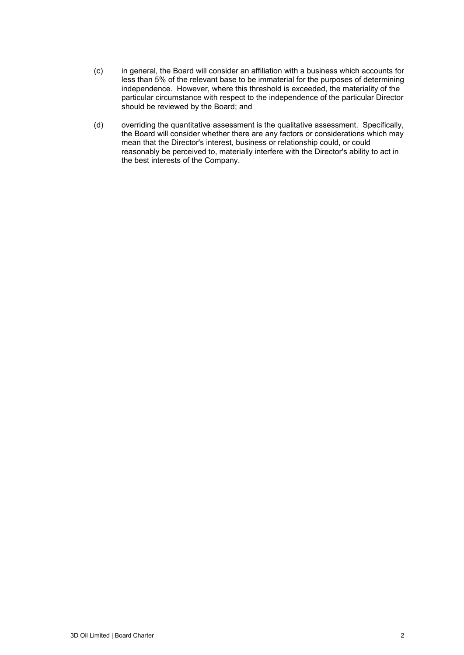- (c) in general, the Board will consider an affiliation with a business which accounts for less than 5% of the relevant base to be immaterial for the purposes of determining independence. However, where this threshold is exceeded, the materiality of the particular circumstance with respect to the independence of the particular Director should be reviewed by the Board; and
- (d) overriding the quantitative assessment is the qualitative assessment. Specifically, the Board will consider whether there are any factors or considerations which may mean that the Director's interest, business or relationship could, or could reasonably be perceived to, materially interfere with the Director's ability to act in the best interests of the Company.